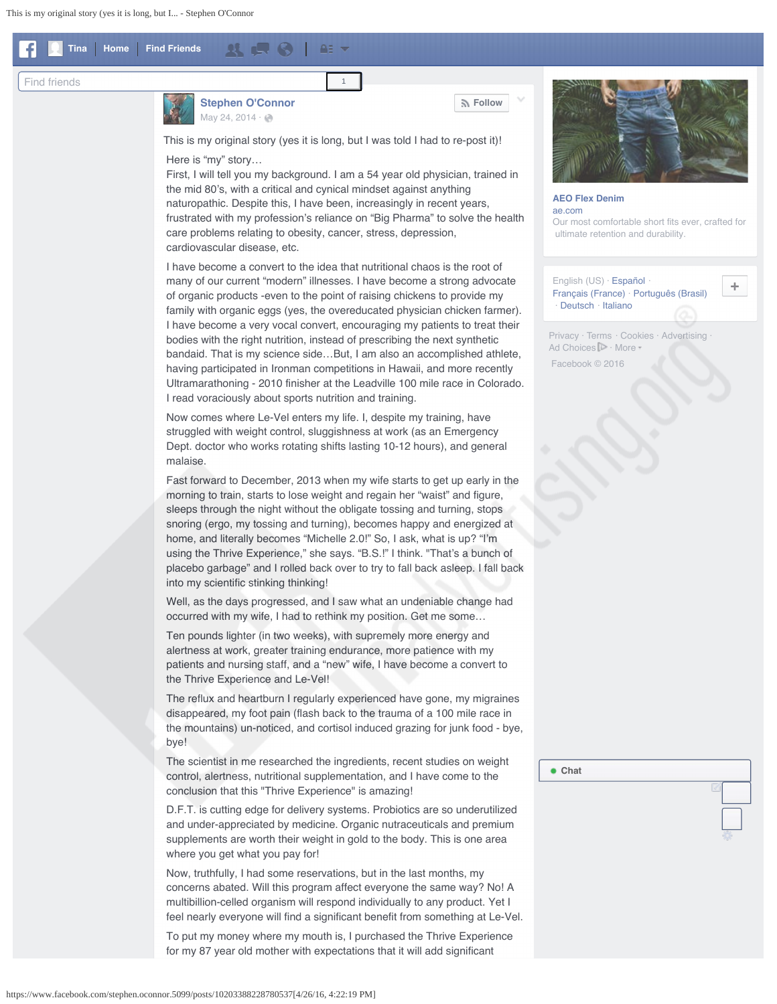<span id="page-0-0"></span>

Find friends

**[Stephen O'Connor](https://www.facebook.com/stephen.oconnor.5099?fref=nf)** [May 24, 2014](#page-0-0) · ·

**[Follow](#page-0-0)**

This is my original story (yes it is long, but I was told I had to re-post it)! Here is "my" story…

1

AΞ

 First, I will tell you my background. I am a 54 year old physician, trained in the mid 80's, with a critical and cynical mindset against anything naturopathic. Despite this, I have been, increasingly in recent years, frustrated with my profession's reliance on "Big Pharma" to solve the health care problems relating to obesity, cancer, stress, depression, cardiovascular disease, etc.

 I have become a convert to the idea that nutritional chaos is the root of many of our current "modern" illnesses. I have become a strong advocate of organic products -even to the point of raising chickens to provide my family with organic eggs (yes, the overeducated physician chicken farmer). I have become a very vocal convert, encouraging my patients to treat their bodies with the right nutrition, instead of prescribing the next synthetic bandaid. That is my science side…But, I am also an accomplished athlete, having participated in Ironman competitions in Hawaii, and more recently Ultramarathoning - 2010 finisher at the Leadville 100 mile race in Colorado. I read voraciously about sports nutrition and training.

 Now comes where Le-Vel enters my life. I, despite my training, have struggled with weight control, sluggishness at work (as an Emergency Dept. doctor who works rotating shifts lasting 10-12 hours), and general malaise.

 Fast forward to December, 2013 when my wife starts to get up early in the morning to train, starts to lose weight and regain her "waist" and figure, sleeps through the night without the obligate tossing and turning, stops snoring (ergo, my tossing and turning), becomes happy and energized at home, and literally becomes "Michelle 2.0!" So, I ask, what is up? "I'm using the Thrive Experience," she says. "B.S.!" I think. "That's a bunch of placebo garbage" and I rolled back over to try to fall back asleep. I fall back into my scientific stinking thinking!

 Well, as the days progressed, and I saw what an undeniable change had occurred with my wife, I had to rethink my position. Get me some…

 Ten pounds lighter (in two weeks), with supremely more energy and alertness at work, greater training endurance, more patience with my patients and nursing staff, and a "new" wife, I have become a convert to the Thrive Experience and Le-Vel!

 The reflux and heartburn I regularly experienced have gone, my migraines disappeared, my foot pain (flash back to the trauma of a 100 mile race in the mountains) un-noticed, and cortisol induced grazing for junk food - bye, bye!

 The scientist in me researched the ingredients, recent studies on weight control, alertness, nutritional supplementation, and I have come to the conclusion that this "Thrive Experience" is amazing!

D.F.T. is cutting edge for delivery systems. Probiotics are so underutilized and under-appreciated by medicine. Organic nutraceuticals and premium supplements are worth their weight in gold to the body. This is one area where you get what you pay for!

 Now, truthfully, I had some reservations, but in the last months, my concerns abated. Will this program affect everyone the same way? No! A multibillion-celled organism will respond individually to any product. Yet I feel nearly everyone will find a significant benefit from something at Le-Vel.

 To put my money where my mouth is, I purchased the Thrive Experience for my 87 year old mother with expectations that it will add significant



**[AEO Flex Denim](https://www.facebook.com/a.php?u=http%3A%2F%2Ffb-nym.adnxs.com%2Ffclick%3Fclickenc%3Dhttps%253A%252F%252Fad.doubleclick.net%252Fddm%252Ftrackclk%252FN339.456584.XAXIS.COM1%252FB9480369.128886919%253Bdc_trk_aid%253D302376477%253Bdc_trk_cid%253D69371857%253Bdc_lat%253D%253Bdc_rdid%253D%253Btag_for_child_directed_treatment%253D%26cp%3D%253Fdi%253DSOF6FK5H6T9rvHSTGAToPwAAAAAAgDZAa7x0kxgE6D9I4XoUrkfpP8N52eA7aexOK_zhw9jeMCvDzR9XAAAAAH4cDQB2BQAAfQYAAAIAAABoXbICanMCAAAAAQBVU0QAVVNEAP4AhQDW4AAAgNwBAgUAAQAAAIgANCZgrgAAAAA.%252Fcnd%253D%252521fAnhbgiEmO0FEOi6yRUY6uYJIAAoioC40gg.%252Fbn%253D56448%252Freferrer%253Dfacebook.com%252F&__tn__=%2AB&xt=3.6277962639313461503.6038681844646.12.0.AQKPYBidT5eCzlGc4oEh0vC7ouqqr-pJRQSp_aKUtJizjYRe_EyHJjTwOFbKm9slwNWHVk6FiEnV_yUZ_iH1ryV_DGmrp-LMs1OA0MVUvvyi9djCGmdPkVrPtLmoyYOKVC5PX3M40ptiyJXlMQBVYX7d6hB9xqB7VxdDbhb33aONa9m9kRsXl0761oZEuxo4wdtzOR8pD9mqALS_DMuYo__A9jdfGQWNCl2ImUhqBC5X0Af1wAcynZlG7PGN7NSZ5SR9UTOxAIo-cZ51v7OfP_tUG1jnHHxjYf4cuDX7R68PBw&mac=AQJU44K22UwU4tH8)** [ae.com](https://www.facebook.com/a.php?u=http%3A%2F%2Ffb-nym.adnxs.com%2Ffclick%3Fclickenc%3Dhttps%253A%252F%252Fad.doubleclick.net%252Fddm%252Ftrackclk%252FN339.456584.XAXIS.COM1%252FB9480369.128886919%253Bdc_trk_aid%253D302376477%253Bdc_trk_cid%253D69371857%253Bdc_lat%253D%253Bdc_rdid%253D%253Btag_for_child_directed_treatment%253D%26cp%3D%253Fdi%253DSOF6FK5H6T9rvHSTGAToPwAAAAAAgDZAa7x0kxgE6D9I4XoUrkfpP8N52eA7aexOK_zhw9jeMCvDzR9XAAAAAH4cDQB2BQAAfQYAAAIAAABoXbICanMCAAAAAQBVU0QAVVNEAP4AhQDW4AAAgNwBAgUAAQAAAIgANCZgrgAAAAA.%252Fcnd%253D%252521fAnhbgiEmO0FEOi6yRUY6uYJIAAoioC40gg.%252Fbn%253D56448%252Freferrer%253Dfacebook.com%252F&__tn__=%2AB&xt=3.6277962639313461503.6038681844646.12.0.AQKPYBidT5eCzlGc4oEh0vC7ouqqr-pJRQSp_aKUtJizjYRe_EyHJjTwOFbKm9slwNWHVk6FiEnV_yUZ_iH1ryV_DGmrp-LMs1OA0MVUvvyi9djCGmdPkVrPtLmoyYOKVC5PX3M40ptiyJXlMQBVYX7d6hB9xqB7VxdDbhb33aONa9m9kRsXl0761oZEuxo4wdtzOR8pD9mqALS_DMuYo__A9jdfGQWNCl2ImUhqBC5X0Af1wAcynZlG7PGN7NSZ5SR9UTOxAIo-cZ51v7OfP_tUG1jnHHxjYf4cuDX7R68PBw&mac=AQJU44K22UwU4tH8) [Our most comfortable short fits ever, crafted for](https://www.facebook.com/a.php?u=http%3A%2F%2Ffb-nym.adnxs.com%2Ffclick%3Fclickenc%3Dhttps%253A%252F%252Fad.doubleclick.net%252Fddm%252Ftrackclk%252FN339.456584.XAXIS.COM1%252FB9480369.128886919%253Bdc_trk_aid%253D302376477%253Bdc_trk_cid%253D69371857%253Bdc_lat%253D%253Bdc_rdid%253D%253Btag_for_child_directed_treatment%253D%26cp%3D%253Fdi%253DSOF6FK5H6T9rvHSTGAToPwAAAAAAgDZAa7x0kxgE6D9I4XoUrkfpP8N52eA7aexOK_zhw9jeMCvDzR9XAAAAAH4cDQB2BQAAfQYAAAIAAABoXbICanMCAAAAAQBVU0QAVVNEAP4AhQDW4AAAgNwBAgUAAQAAAIgANCZgrgAAAAA.%252Fcnd%253D%252521fAnhbgiEmO0FEOi6yRUY6uYJIAAoioC40gg.%252Fbn%253D56448%252Freferrer%253Dfacebook.com%252F&__tn__=%2AB&xt=3.6277962639313461503.6038681844646.12.0.AQKPYBidT5eCzlGc4oEh0vC7ouqqr-pJRQSp_aKUtJizjYRe_EyHJjTwOFbKm9slwNWHVk6FiEnV_yUZ_iH1ryV_DGmrp-LMs1OA0MVUvvyi9djCGmdPkVrPtLmoyYOKVC5PX3M40ptiyJXlMQBVYX7d6hB9xqB7VxdDbhb33aONa9m9kRsXl0761oZEuxo4wdtzOR8pD9mqALS_DMuYo__A9jdfGQWNCl2ImUhqBC5X0Af1wAcynZlG7PGN7NSZ5SR9UTOxAIo-cZ51v7OfP_tUG1jnHHxjYf4cuDX7R68PBw&mac=AQJU44K22UwU4tH8)  [ultimate retention and durability.](https://www.facebook.com/a.php?u=http%3A%2F%2Ffb-nym.adnxs.com%2Ffclick%3Fclickenc%3Dhttps%253A%252F%252Fad.doubleclick.net%252Fddm%252Ftrackclk%252FN339.456584.XAXIS.COM1%252FB9480369.128886919%253Bdc_trk_aid%253D302376477%253Bdc_trk_cid%253D69371857%253Bdc_lat%253D%253Bdc_rdid%253D%253Btag_for_child_directed_treatment%253D%26cp%3D%253Fdi%253DSOF6FK5H6T9rvHSTGAToPwAAAAAAgDZAa7x0kxgE6D9I4XoUrkfpP8N52eA7aexOK_zhw9jeMCvDzR9XAAAAAH4cDQB2BQAAfQYAAAIAAABoXbICanMCAAAAAQBVU0QAVVNEAP4AhQDW4AAAgNwBAgUAAQAAAIgANCZgrgAAAAA.%252Fcnd%253D%252521fAnhbgiEmO0FEOi6yRUY6uYJIAAoioC40gg.%252Fbn%253D56448%252Freferrer%253Dfacebook.com%252F&__tn__=%2AB&xt=3.6277962639313461503.6038681844646.12.0.AQKPYBidT5eCzlGc4oEh0vC7ouqqr-pJRQSp_aKUtJizjYRe_EyHJjTwOFbKm9slwNWHVk6FiEnV_yUZ_iH1ryV_DGmrp-LMs1OA0MVUvvyi9djCGmdPkVrPtLmoyYOKVC5PX3M40ptiyJXlMQBVYX7d6hB9xqB7VxdDbhb33aONa9m9kRsXl0761oZEuxo4wdtzOR8pD9mqALS_DMuYo__A9jdfGQWNCl2ImUhqBC5X0Af1wAcynZlG7PGN7NSZ5SR9UTOxAIo-cZ51v7OfP_tUG1jnHHxjYf4cuDX7R68PBw&mac=AQJU44K22UwU4tH8)

English (US) · [Español](#page-0-0) [Français \(France\)](#page-0-0) · [Português \(Brasil\)](#page-0-0) · [Deutsch](#page-0-0) · [Italiano](#page-0-0)

[Privacy](https://www.facebook.com/privacy/explanation) · [Terms](https://www.facebook.com/policies?ref=pf) · [Cookies](https://www.facebook.com/help/cookies?ref_type=sitefooter) · [Advertising](https://www.facebook.com/campaign/landing.php?placement=pf_rhc_more&campaign_id=136808916455473&extra_1=auto) · [More](#page-0-0) [Ad Choices](https://www.facebook.com/help/568137493302217) Facebook © 2016

**Chat**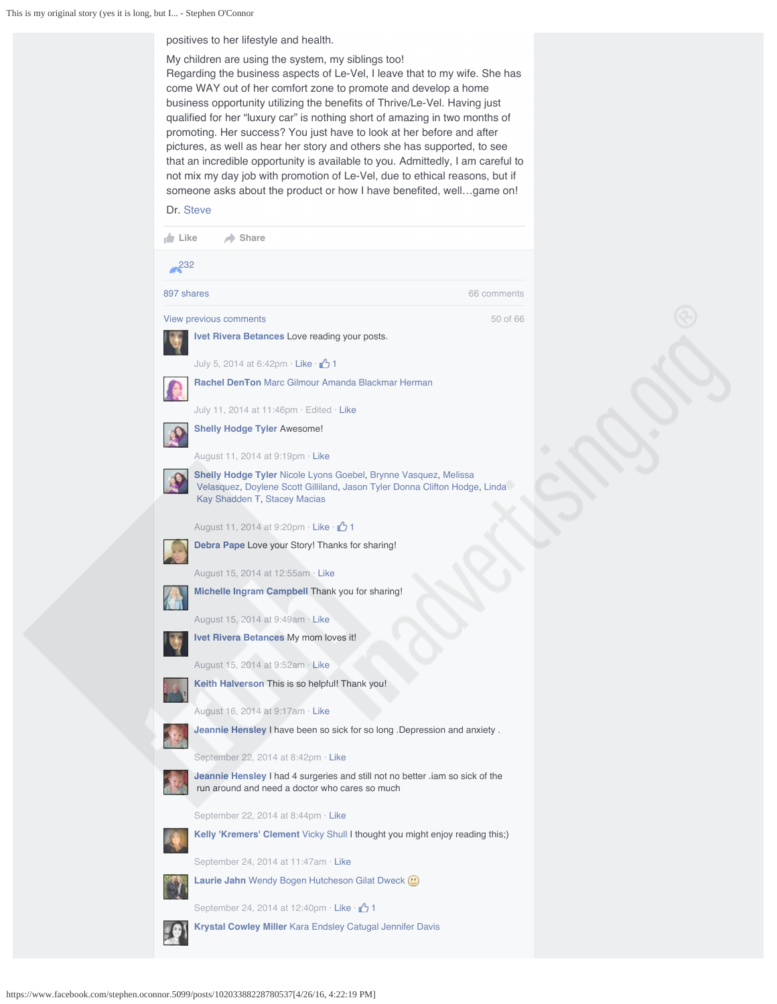positives to her lifestyle and health.

My children are using the system, my siblings too!

 Regarding the business aspects of Le-Vel, I leave that to my wife. She has come WAY out of her comfort zone to promote and develop a home business opportunity utilizing the benefits of Thrive/Le-Vel. Having just qualified for her "luxury car" is nothing short of amazing in two months of promoting. Her success? You just have to look at her before and after pictures, as well as hear her story and others she has supported, to see that an incredible opportunity is available to you. Admittedly, I am careful to not mix my day job with promotion of Le-Vel, due to ethical reasons, but if someone asks about the product or how I have benefited, well…game on!

## Dr. [Steve](https://www.facebook.com/sbuchta)

| $\mathbb{F}$ Like | Share                                                                                                                                                                                |             |
|-------------------|--------------------------------------------------------------------------------------------------------------------------------------------------------------------------------------|-------------|
| 232               |                                                                                                                                                                                      |             |
| 897 shares        |                                                                                                                                                                                      | 66 comments |
|                   | View previous comments                                                                                                                                                               | 50 of 66    |
|                   | <b>Ivet Rivera Betances</b> Love reading your posts.                                                                                                                                 |             |
|                   | July 5, 2014 at 6:42pm $\cdot$ Like $\cdot$ 1                                                                                                                                        |             |
|                   | <b>Rachel DenTon</b> Marc Gilmour Amanda Blackmar Herman                                                                                                                             |             |
|                   | July 11, 2014 at 11:46pm $\cdot$ Edited $\cdot$ Like                                                                                                                                 |             |
|                   | <b>Shelly Hodge Tyler Awesome!</b>                                                                                                                                                   |             |
|                   | August 11, 2014 at 9:19pm · Like                                                                                                                                                     |             |
|                   | <b>Shelly Hodge Tyler Nicole Lyons Goebel, Brynne Vasquez, Melissa</b><br>Velasquez, Doylene Scott Gilliland, Jason Tyler Donna Clifton Hodge, Linda<br>Kay Shadden F, Stacey Macias |             |
|                   | August 11, 2014 at 9:20pm · Like · 1                                                                                                                                                 |             |
|                   | <b>Debra Pape Love your Story! Thanks for sharing!</b>                                                                                                                               |             |
|                   | August 15, 2014 at 12:55am · Like                                                                                                                                                    |             |
|                   | Michelle Ingram Campbell Thank you for sharing!                                                                                                                                      |             |
|                   | August 15, 2014 at 9:49am $\cdot$ Like                                                                                                                                               |             |
|                   | <b>Ivet Rivera Betances My mom loves it!</b>                                                                                                                                         |             |
|                   | August 15, 2014 at 9:52am · Like                                                                                                                                                     |             |
|                   | Keith Halverson This is so helpful! Thank you!                                                                                                                                       |             |
|                   | August 16, 2014 at 9:17am · Like                                                                                                                                                     |             |
|                   | Jeannie Hensley I have been so sick for so long .Depression and anxiety.                                                                                                             |             |
|                   | September 22, 2014 at 8:42pm $\cdot$ Like                                                                                                                                            |             |
|                   | <b>Jeannie Hensley</b> I had 4 surgeries and still not no better .iam so sick of the<br>run around and need a doctor who cares so much                                               |             |
|                   | September 22, 2014 at 8:44pm $\cdot$ Like                                                                                                                                            |             |
|                   | Kelly 'Kremers' Clement Vicky Shull I thought you might enjoy reading this;)                                                                                                         |             |
|                   | September 24, 2014 at 11:47am $\cdot$ Like                                                                                                                                           |             |
|                   | Laurie Jahn Wendy Bogen Hutcheson Gilat Dweck (U)                                                                                                                                    |             |
|                   | September 24, 2014 at 12:40pm $\cdot$ Like $\cdot$ $\uparrow$ 1                                                                                                                      |             |
|                   | <b>Krystal Cowley Miller</b> Kara Endsley Catugal Jennifer Davis                                                                                                                     |             |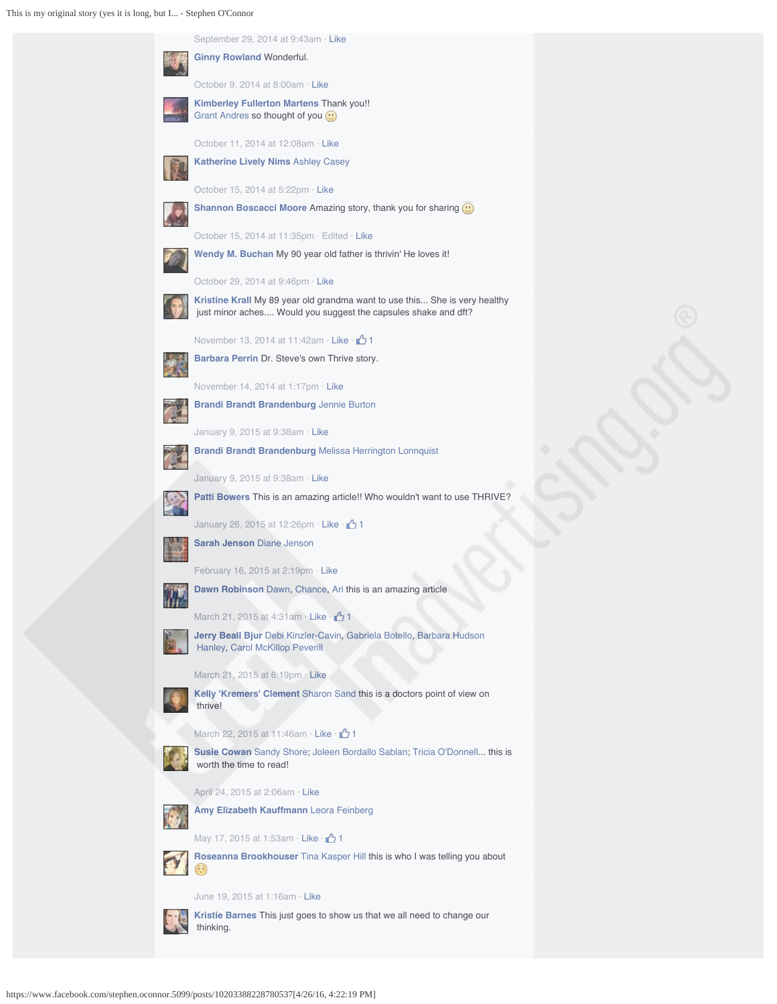This is my original story (yes it is long, but I... - Stephen O'Connor

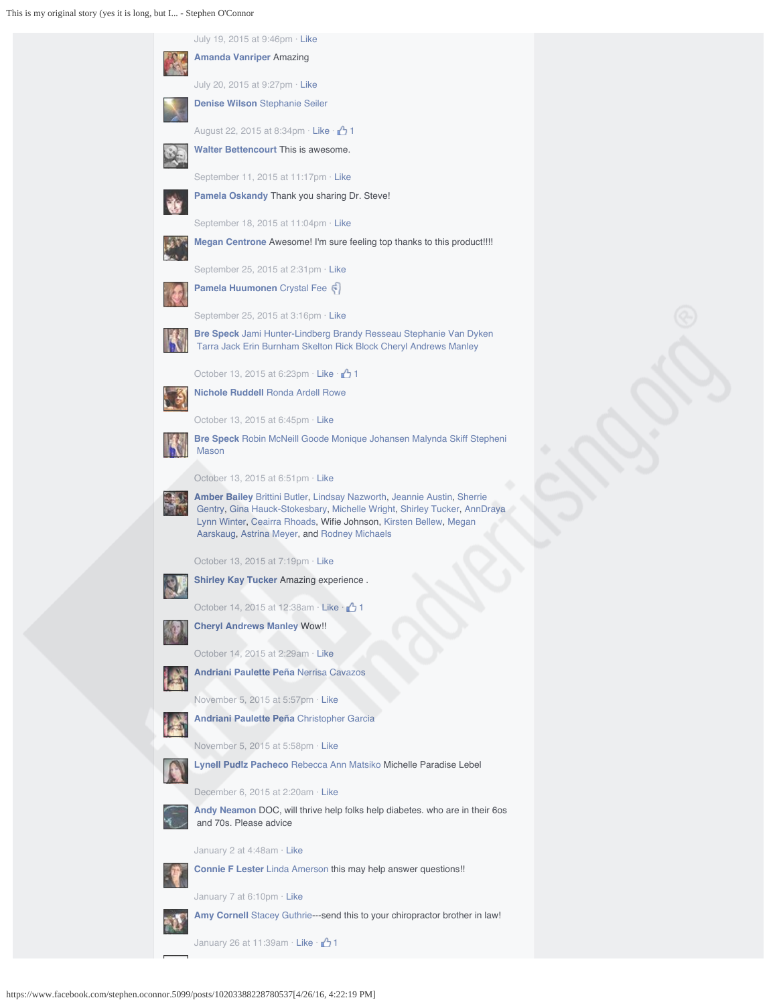This is my original story (yes it is long, but I... - Stephen O'Connor